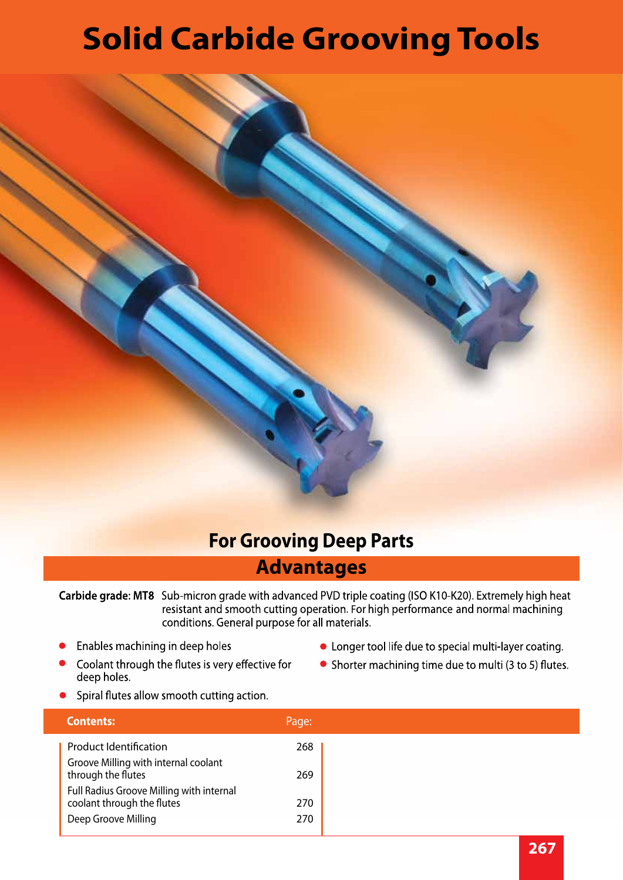# **Solid Carbide Grooving Tools**



### **For Grooving Deep Parts**

#### **Advantages**

Carbide grade: MT8 Sub-micron grade with advanced PVD triple coating (ISO K10-K20). Extremely high heat resistant and smooth cutting operation. For high performance and normal machining conditions. General purpose for all materials.

- Enables machining in deep holes  $\bullet$
- Coolant through the flutes is very effective for deep holes.
- Longer tool life due to special multi-layer coating.
- Shorter machining time due to multi (3 to 5) flutes.
- Spiral flutes allow smooth cutting action.

| <b>Contents:</b>                                                       | Page: |
|------------------------------------------------------------------------|-------|
| <b>Product Identification</b>                                          | 268   |
| Groove Milling with internal coolant<br>through the flutes             | 269   |
| Full Radius Groove Milling with internal<br>coolant through the flutes | 270   |
| Deep Groove Milling                                                    | 270   |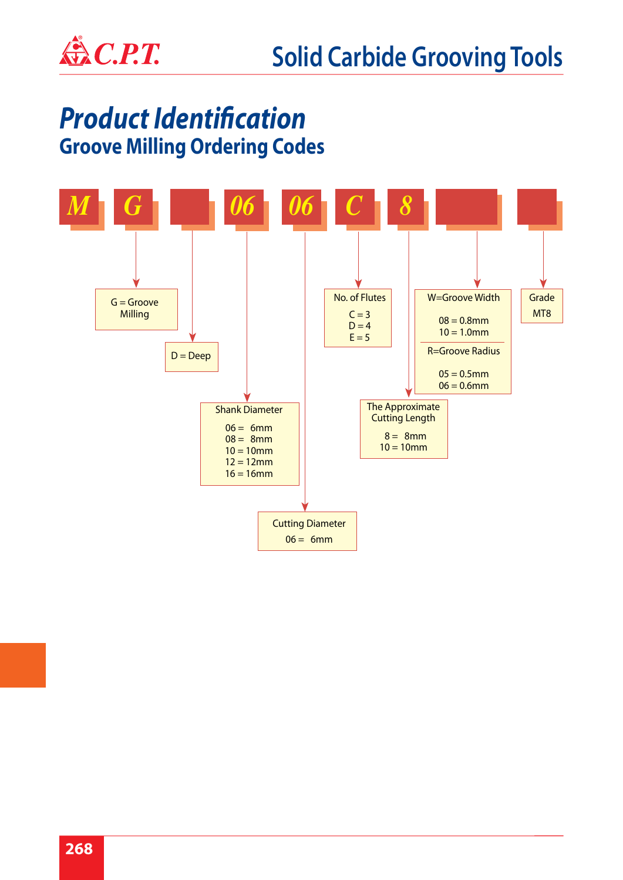

## *Product Identification*  **Groove Milling Ordering Codes**

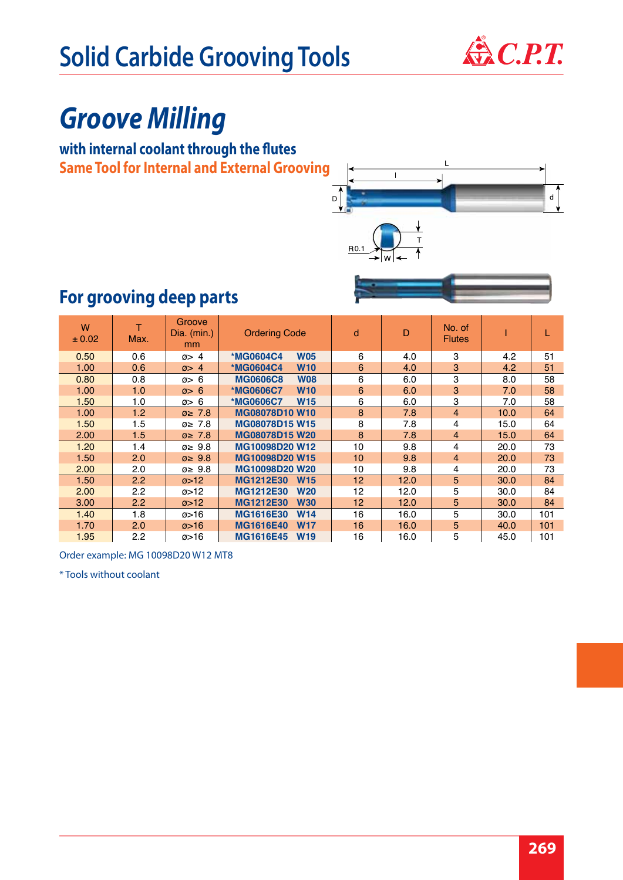

# *Groove Milling*

#### **with internal coolant through the flutes Same Tool for Internal and External Grooving**



## **For grooving deep parts**

| W<br>± 0.02 | Max. | <b>Groove</b><br>Dia. $(min.)$<br>mm | <b>Ordering Code</b>           | d  | D    | No. of<br><b>Flutes</b> |      |     |
|-------------|------|--------------------------------------|--------------------------------|----|------|-------------------------|------|-----|
| 0.50        | 0.6  | $\varnothing$ 4                      | <b>W05</b><br><b>*MG0604C4</b> | 6  | 4.0  | 3                       | 4.2  | 51  |
| 1.00        | 0.6  | $\varnothing$ 4                      | <b>*MG0604C4</b><br><b>W10</b> | 6  | 4.0  | 3                       | 4.2  | 51  |
| 0.80        | 0.8  | $\varnothing$ 6                      | <b>MG0606C8</b><br><b>W08</b>  | 6  | 6.0  | 3                       | 8.0  | 58  |
| 1.00        | 1.0  | $\varnothing$ 6                      | *MG0606C7<br><b>W10</b>        | 6  | 6.0  | 3                       | 7.0  | 58  |
| 1.50        | 1.0  | $\varnothing$ 6                      | <b>W15</b><br>*MG0606C7        | 6  | 6.0  | 3                       | 7.0  | 58  |
| 1.00        | 1.2  | $\varnothing \geq 7.8$               | <b>MG08078D10 W10</b>          | 8  | 7.8  | $\overline{4}$          | 10.0 | 64  |
| 1.50        | 1.5  | $\varnothing \geq 7.8$               | <b>MG08078D15 W15</b>          | 8  | 7.8  | 4                       | 15.0 | 64  |
| 2.00        | 1.5  | $\varnothing \geq 7.8$               | MG08078D15 W20                 | 8  | 7.8  | $\overline{4}$          | 15.0 | 64  |
| 1.20        | 1.4  | $\varnothing \geq 9.8$               | MG10098D20 W12                 | 10 | 9.8  | 4                       | 20.0 | 73  |
| 1.50        | 2.0  | $\varnothing \geq 9.8$               | MG10098D20 W15                 | 10 | 9.8  | $\overline{4}$          | 20.0 | 73  |
| 2.00        | 2.0  | $\varnothing \geq 9.8$               | MG10098D20 W20                 | 10 | 9.8  | 4                       | 20.0 | 73  |
| 1.50        | 2.2  | $\omega > 12$                        | <b>MG1212E30</b><br><b>W15</b> | 12 | 12.0 | 5                       | 30.0 | 84  |
| 2.00        | 2.2  | Ø>12                                 | MG1212E30<br><b>W20</b>        | 12 | 12.0 | 5                       | 30.0 | 84  |
| 3.00        | 2.2  | $\varnothing > 12$                   | MG1212E30<br><b>W30</b>        | 12 | 12.0 | 5                       | 30.0 | 84  |
| 1.40        | 1.8  | $\varnothing$ > 16                   | MG1616E30<br><b>W14</b>        | 16 | 16.0 | 5                       | 30.0 | 101 |
| 1.70        | 2.0  | $\varnothing$ > 16                   | <b>MG1616E40</b><br><b>W17</b> | 16 | 16.0 | 5                       | 40.0 | 101 |
| 1.95        | 2.2  | $\varnothing$ > 16                   | <b>MG1616E45</b><br><b>W19</b> | 16 | 16.0 | 5                       | 45.0 | 101 |

Order example: MG 10098D20 W12 MT8

\* Tools without coolant